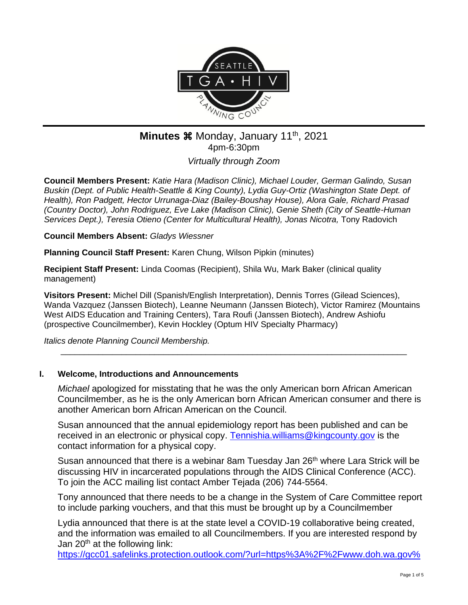

# **Minutes**  $\frac{1}{2}$  **Monday, January 11<sup>th</sup>, 2021** 4pm-6:30pm

*Virtually through Zoom*

**Council Members Present:** *Katie Hara (Madison Clinic), Michael Louder, German Galindo, Susan Buskin (Dept. of Public Health-Seattle & King County), Lydia Guy-Ortiz (Washington State Dept. of Health), Ron Padgett, Hector Urrunaga-Diaz (Bailey-Boushay House), Alora Gale, Richard Prasad (Country Doctor), John Rodriguez, Eve Lake (Madison Clinic), Genie Sheth (City of Seattle-Human Services Dept.), Teresia Otieno (Center for Multicultural Health), Jonas Nicotra,* Tony Radovich

**Council Members Absent:** *Gladys Wiessner*

**Planning Council Staff Present:** Karen Chung, Wilson Pipkin (minutes)

**Recipient Staff Present:** Linda Coomas (Recipient), Shila Wu, Mark Baker (clinical quality management)

**Visitors Present:** Michel Dill (Spanish/English Interpretation), Dennis Torres (Gilead Sciences), Wanda Vazquez (Janssen Biotech), Leanne Neumann (Janssen Biotech), Victor Ramirez (Mountains West AIDS Education and Training Centers), Tara Roufi (Janssen Biotech), Andrew Ashiofu (prospective Councilmember), Kevin Hockley (Optum HIV Specialty Pharmacy)

\_\_\_\_\_\_\_\_\_\_\_\_\_\_\_\_\_\_\_\_\_\_\_\_\_\_\_\_\_\_\_\_\_\_\_\_\_\_\_\_\_\_\_\_\_\_\_\_\_\_\_\_\_\_\_\_\_\_\_\_\_\_\_\_\_\_\_\_\_\_\_\_\_\_

*Italics denote Planning Council Membership.* 

# **I. Welcome, Introductions and Announcements**

*Michael* apologized for misstating that he was the only American born African American Councilmember, as he is the only American born African American consumer and there is another American born African American on the Council.

Susan announced that the annual epidemiology report has been published and can be received in an electronic or physical copy. [Tennishia.williams@kingcounty.gov](mailto:Tennishia.williams@kingcounty.gov) is the contact information for a physical copy.

Susan announced that there is a webinar 8am Tuesday Jan 26<sup>th</sup> where Lara Strick will be discussing HIV in incarcerated populations through the AIDS Clinical Conference (ACC). To join the ACC mailing list contact Amber Tejada (206) 744-5564.

Tony announced that there needs to be a change in the System of Care Committee report to include parking vouchers, and that this must be brought up by a Councilmember

Lydia announced that there is at the state level a COVID-19 collaborative being created, and the information was emailed to all Councilmembers. If you are interested respond by Jan 20<sup>th</sup> at the following link:

[https://gcc01.safelinks.protection.outlook.com/?url=https%3A%2F%2Fwww.doh.wa.gov%](https://gcc01.safelinks.protection.outlook.com/?url=https%3A%2F%2Fwww.doh.wa.gov%2FEmergencies%2FCOVID19%2FVaccineInformation%2FEngagement%2FCollaborative&data=04%7C01%7Ckchung%40kingcounty.gov%7Ca6e8d1a956e64b1719f408d8b2698b76%7Cbae5059a76f049d7999672dfe95d69c7%7C0%7C0%7C637455513693821204%7CUnknown%7CTWFpbGZsb3d8eyJWIjoiMC4wLjAwMDAiLCJQIjoiV2luMzIiLCJBTiI6Ik1haWwiLCJXVCI6Mn0%3D%7C1000&sdata=38PGyFbCPubirJostRcgbs47TquVprPa8hGDdFziEdI%3D&reserved=0)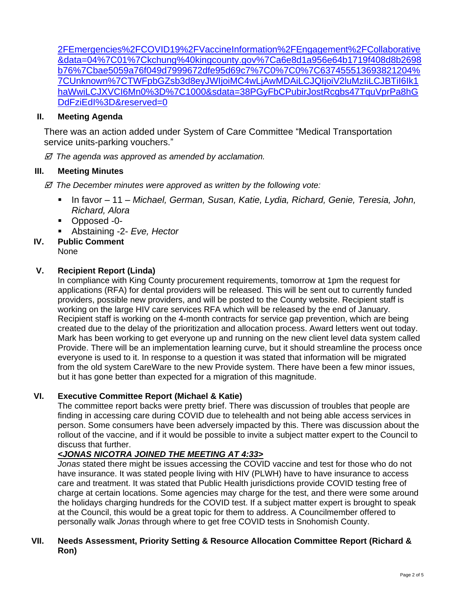[2FEmergencies%2FCOVID19%2FVaccineInformation%2FEngagement%2FCollaborative](https://gcc01.safelinks.protection.outlook.com/?url=https%3A%2F%2Fwww.doh.wa.gov%2FEmergencies%2FCOVID19%2FVaccineInformation%2FEngagement%2FCollaborative&data=04%7C01%7Ckchung%40kingcounty.gov%7Ca6e8d1a956e64b1719f408d8b2698b76%7Cbae5059a76f049d7999672dfe95d69c7%7C0%7C0%7C637455513693821204%7CUnknown%7CTWFpbGZsb3d8eyJWIjoiMC4wLjAwMDAiLCJQIjoiV2luMzIiLCJBTiI6Ik1haWwiLCJXVCI6Mn0%3D%7C1000&sdata=38PGyFbCPubirJostRcgbs47TquVprPa8hGDdFziEdI%3D&reserved=0) [&data=04%7C01%7Ckchung%40kingcounty.gov%7Ca6e8d1a956e64b1719f408d8b2698](https://gcc01.safelinks.protection.outlook.com/?url=https%3A%2F%2Fwww.doh.wa.gov%2FEmergencies%2FCOVID19%2FVaccineInformation%2FEngagement%2FCollaborative&data=04%7C01%7Ckchung%40kingcounty.gov%7Ca6e8d1a956e64b1719f408d8b2698b76%7Cbae5059a76f049d7999672dfe95d69c7%7C0%7C0%7C637455513693821204%7CUnknown%7CTWFpbGZsb3d8eyJWIjoiMC4wLjAwMDAiLCJQIjoiV2luMzIiLCJBTiI6Ik1haWwiLCJXVCI6Mn0%3D%7C1000&sdata=38PGyFbCPubirJostRcgbs47TquVprPa8hGDdFziEdI%3D&reserved=0) [b76%7Cbae5059a76f049d7999672dfe95d69c7%7C0%7C0%7C637455513693821204%](https://gcc01.safelinks.protection.outlook.com/?url=https%3A%2F%2Fwww.doh.wa.gov%2FEmergencies%2FCOVID19%2FVaccineInformation%2FEngagement%2FCollaborative&data=04%7C01%7Ckchung%40kingcounty.gov%7Ca6e8d1a956e64b1719f408d8b2698b76%7Cbae5059a76f049d7999672dfe95d69c7%7C0%7C0%7C637455513693821204%7CUnknown%7CTWFpbGZsb3d8eyJWIjoiMC4wLjAwMDAiLCJQIjoiV2luMzIiLCJBTiI6Ik1haWwiLCJXVCI6Mn0%3D%7C1000&sdata=38PGyFbCPubirJostRcgbs47TquVprPa8hGDdFziEdI%3D&reserved=0) [7CUnknown%7CTWFpbGZsb3d8eyJWIjoiMC4wLjAwMDAiLCJQIjoiV2luMzIiLCJBTiI6Ik1](https://gcc01.safelinks.protection.outlook.com/?url=https%3A%2F%2Fwww.doh.wa.gov%2FEmergencies%2FCOVID19%2FVaccineInformation%2FEngagement%2FCollaborative&data=04%7C01%7Ckchung%40kingcounty.gov%7Ca6e8d1a956e64b1719f408d8b2698b76%7Cbae5059a76f049d7999672dfe95d69c7%7C0%7C0%7C637455513693821204%7CUnknown%7CTWFpbGZsb3d8eyJWIjoiMC4wLjAwMDAiLCJQIjoiV2luMzIiLCJBTiI6Ik1haWwiLCJXVCI6Mn0%3D%7C1000&sdata=38PGyFbCPubirJostRcgbs47TquVprPa8hGDdFziEdI%3D&reserved=0) [haWwiLCJXVCI6Mn0%3D%7C1000&sdata=38PGyFbCPubirJostRcgbs47TquVprPa8hG](https://gcc01.safelinks.protection.outlook.com/?url=https%3A%2F%2Fwww.doh.wa.gov%2FEmergencies%2FCOVID19%2FVaccineInformation%2FEngagement%2FCollaborative&data=04%7C01%7Ckchung%40kingcounty.gov%7Ca6e8d1a956e64b1719f408d8b2698b76%7Cbae5059a76f049d7999672dfe95d69c7%7C0%7C0%7C637455513693821204%7CUnknown%7CTWFpbGZsb3d8eyJWIjoiMC4wLjAwMDAiLCJQIjoiV2luMzIiLCJBTiI6Ik1haWwiLCJXVCI6Mn0%3D%7C1000&sdata=38PGyFbCPubirJostRcgbs47TquVprPa8hGDdFziEdI%3D&reserved=0) [DdFziEdI%3D&reserved=0](https://gcc01.safelinks.protection.outlook.com/?url=https%3A%2F%2Fwww.doh.wa.gov%2FEmergencies%2FCOVID19%2FVaccineInformation%2FEngagement%2FCollaborative&data=04%7C01%7Ckchung%40kingcounty.gov%7Ca6e8d1a956e64b1719f408d8b2698b76%7Cbae5059a76f049d7999672dfe95d69c7%7C0%7C0%7C637455513693821204%7CUnknown%7CTWFpbGZsb3d8eyJWIjoiMC4wLjAwMDAiLCJQIjoiV2luMzIiLCJBTiI6Ik1haWwiLCJXVCI6Mn0%3D%7C1000&sdata=38PGyFbCPubirJostRcgbs47TquVprPa8hGDdFziEdI%3D&reserved=0)

## **II. Meeting Agenda**

There was an action added under System of Care Committee "Medical Transportation service units-parking vouchers."

 *The agenda was approved as amended by acclamation.*

## **III. Meeting Minutes**

- *The December minutes were approved as written by the following vote:*
	- In favor 11 *Michael, German, Susan, Katie, Lydia, Richard, Genie, Teresia, John, Richard, Alora*
	- Opposed -0-
	- Abstaining -2- *Eve*, *Hector*

# **IV. Public Comment**

#### None

## **V. Recipient Report (Linda)**

In compliance with King County procurement requirements, tomorrow at 1pm the request for applications (RFA) for dental providers will be released. This will be sent out to currently funded providers, possible new providers, and will be posted to the County website. Recipient staff is working on the large HIV care services RFA which will be released by the end of January. Recipient staff is working on the 4-month contracts for service gap prevention, which are being created due to the delay of the prioritization and allocation process. Award letters went out today. Mark has been working to get everyone up and running on the new client level data system called Provide. There will be an implementation learning curve, but it should streamline the process once everyone is used to it. In response to a question it was stated that information will be migrated from the old system CareWare to the new Provide system. There have been a few minor issues, but it has gone better than expected for a migration of this magnitude.

### **VI. Executive Committee Report (Michael & Katie)**

The committee report backs were pretty brief. There was discussion of troubles that people are finding in accessing care during COVID due to telehealth and not being able access services in person. Some consumers have been adversely impacted by this. There was discussion about the rollout of the vaccine, and if it would be possible to invite a subject matter expert to the Council to discuss that further.

# *<JONAS NICOTRA JOINED THE MEETING AT 4:33>*

*Jonas* stated there might be issues accessing the COVID vaccine and test for those who do not have insurance. It was stated people living with HIV (PLWH) have to have insurance to access care and treatment. It was stated that Public Health jurisdictions provide COVID testing free of charge at certain locations. Some agencies may charge for the test, and there were some around the holidays charging hundreds for the COVID test. If a subject matter expert is brought to speak at the Council, this would be a great topic for them to address. A Councilmember offered to personally walk *Jonas* through where to get free COVID tests in Snohomish County.

### **VII. Needs Assessment, Priority Setting & Resource Allocation Committee Report (Richard & Ron)**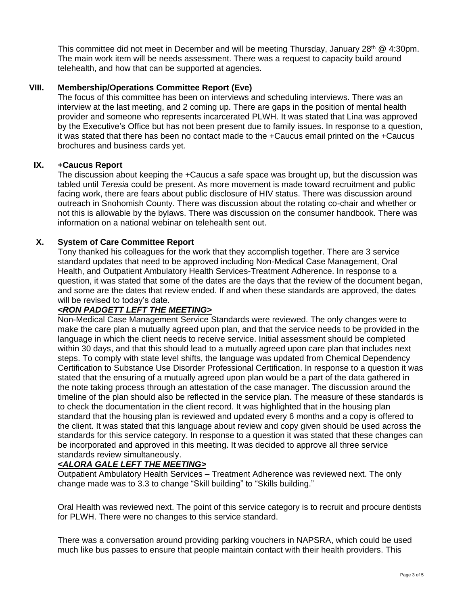This committee did not meet in December and will be meeting Thursday, January  $28<sup>th</sup>$  @ 4:30pm. The main work item will be needs assessment. There was a request to capacity build around telehealth, and how that can be supported at agencies.

## **VIII. Membership/Operations Committee Report (Eve)**

The focus of this committee has been on interviews and scheduling interviews. There was an interview at the last meeting, and 2 coming up. There are gaps in the position of mental health provider and someone who represents incarcerated PLWH. It was stated that Lina was approved by the Executive's Office but has not been present due to family issues. In response to a question, it was stated that there has been no contact made to the +Caucus email printed on the +Caucus brochures and business cards yet.

## **IX. +Caucus Report**

The discussion about keeping the +Caucus a safe space was brought up, but the discussion was tabled until *Teresia* could be present. As more movement is made toward recruitment and public facing work, there are fears about public disclosure of HIV status. There was discussion around outreach in Snohomish County. There was discussion about the rotating co-chair and whether or not this is allowable by the bylaws. There was discussion on the consumer handbook. There was information on a national webinar on telehealth sent out.

## **X. System of Care Committee Report**

Tony thanked his colleagues for the work that they accomplish together. There are 3 service standard updates that need to be approved including Non-Medical Case Management, Oral Health, and Outpatient Ambulatory Health Services-Treatment Adherence. In response to a question, it was stated that some of the dates are the days that the review of the document began, and some are the dates that review ended. If and when these standards are approved, the dates will be revised to today's date.

# *<RON PADGETT LEFT THE MEETING>*

Non-Medical Case Management Service Standards were reviewed. The only changes were to make the care plan a mutually agreed upon plan, and that the service needs to be provided in the language in which the client needs to receive service. Initial assessment should be completed within 30 days, and that this should lead to a mutually agreed upon care plan that includes next steps. To comply with state level shifts, the language was updated from Chemical Dependency Certification to Substance Use Disorder Professional Certification. In response to a question it was stated that the ensuring of a mutually agreed upon plan would be a part of the data gathered in the note taking process through an attestation of the case manager. The discussion around the timeline of the plan should also be reflected in the service plan. The measure of these standards is to check the documentation in the client record. It was highlighted that in the housing plan standard that the housing plan is reviewed and updated every 6 months and a copy is offered to the client. It was stated that this language about review and copy given should be used across the standards for this service category. In response to a question it was stated that these changes can be incorporated and approved in this meeting. It was decided to approve all three service standards review simultaneously.

### *<ALORA GALE LEFT THE MEETING>*

Outpatient Ambulatory Health Services – Treatment Adherence was reviewed next. The only change made was to 3.3 to change "Skill building" to "Skills building."

Oral Health was reviewed next. The point of this service category is to recruit and procure dentists for PLWH. There were no changes to this service standard.

There was a conversation around providing parking vouchers in NAPSRA, which could be used much like bus passes to ensure that people maintain contact with their health providers. This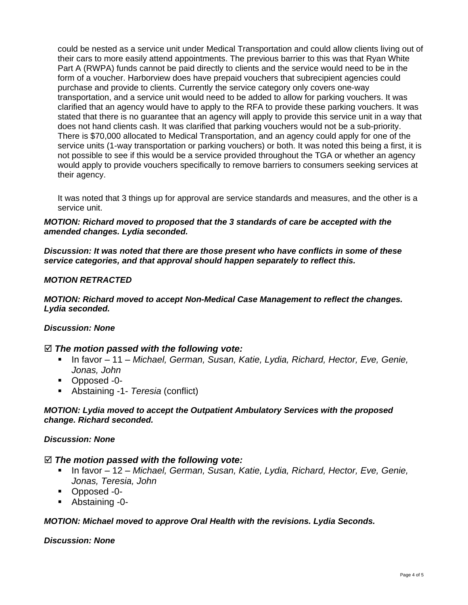could be nested as a service unit under Medical Transportation and could allow clients living out of their cars to more easily attend appointments. The previous barrier to this was that Ryan White Part A (RWPA) funds cannot be paid directly to clients and the service would need to be in the form of a voucher. Harborview does have prepaid vouchers that subrecipient agencies could purchase and provide to clients. Currently the service category only covers one-way transportation, and a service unit would need to be added to allow for parking vouchers. It was clarified that an agency would have to apply to the RFA to provide these parking vouchers. It was stated that there is no guarantee that an agency will apply to provide this service unit in a way that does not hand clients cash. It was clarified that parking vouchers would not be a sub-priority. There is \$70,000 allocated to Medical Transportation, and an agency could apply for one of the service units (1-way transportation or parking vouchers) or both. It was noted this being a first, it is not possible to see if this would be a service provided throughout the TGA or whether an agency would apply to provide vouchers specifically to remove barriers to consumers seeking services at their agency.

It was noted that 3 things up for approval are service standards and measures, and the other is a service unit.

#### *MOTION: Richard moved to proposed that the 3 standards of care be accepted with the amended changes. Lydia seconded.*

*Discussion: It was noted that there are those present who have conflicts in some of these service categories, and that approval should happen separately to reflect this.*

### *MOTION RETRACTED*

*MOTION: Richard moved to accept Non-Medical Case Management to reflect the changes. Lydia seconded.*

#### *Discussion: None*

### *The motion passed with the following vote:*

- In favor 11 *Michael, German, Susan, Katie, Lydia, Richard, Hector, Eve, Genie, Jonas, John*
- Opposed -0-
- Abstaining -1- *Teresia* (conflict)

#### *MOTION: Lydia moved to accept the Outpatient Ambulatory Services with the proposed change. Richard seconded.*

#### *Discussion: None*

#### *The motion passed with the following vote:*

- In favor 12 *Michael, German, Susan, Katie, Lydia, Richard, Hector, Eve, Genie, Jonas, Teresia, John*
- Opposed -0-
- Abstaining -0-

#### *MOTION: Michael moved to approve Oral Health with the revisions. Lydia Seconds.*

#### *Discussion: None*